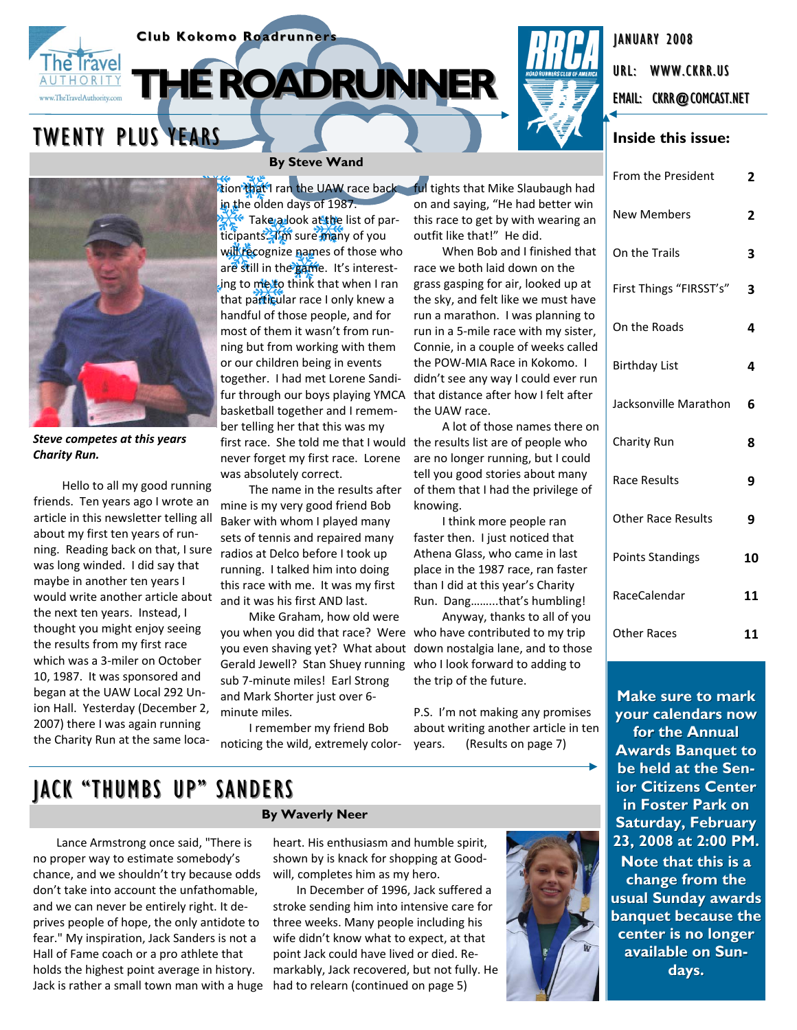



JANUARY 2008

EMAIL: CKRR@COMCAST.NET

From the President **2**



*Steve competes at this years Charity Run.*

Hello to all my good running friends. Ten years ago I wrote an article in this newsletter telling all about my first ten years of run‐ ning. Reading back on that, I sure was long winded. I did say that maybe in another ten years I would write another article about the next ten years. Instead, I thought you might enjoy seeing the results from my first race which was a 3‐miler on October 10, 1987. It was sponsored and began at the UAW Local 292 Un‐ ion Hall. Yesterday (December 2, 2007) there I was again running the Charity Run at the same loca‐

# **By Steve Wand**

tion that I ran the UAW race back in the olden days of 1987. Take a look at the list of participants. *I'm* sure many of you will recognize names of those who are still in the game. It's interesting to meto think that when I ran that particular race I only knew a handful of those people, and for most of them it wasn't from run‐ ning but from working with them or our children being in events together. I had met Lorene Sandi‐ fur through our boys playing YMCA basketball together and I remem‐ ber telling her that this was my first race. She told me that I would never forget my first race. Lorene was absolutely correct.

The name in the results after mine is my very good friend Bob Baker with whom I played many sets of tennis and repaired many radios at Delco before I took up running. I talked him into doing this race with me. It was my first and it was his first AND last.

Mike Graham, how old were you when you did that race? Were you even shaving yet? What about Gerald Jewell? Stan Shuey running sub 7‐minute miles! Earl Strong and Mark Shorter just over 6‐ minute miles.

I remember my friend Bob noticing the wild, extremely color‐

ful tights that Mike Slaubaugh had on and saying, "He had better win this race to get by with wearing an outfit like that!" He did.

When Bob and I finished that race we both laid down on the grass gasping for air, looked up at the sky, and felt like we must have run a marathon. I was planning to run in a 5‐mile race with my sister, Connie, in a couple of weeks called the POW‐MIA Race in Kokomo. I didn't see any way I could ever run that distance after how I felt after the UAW race.

A lot of those names there on the results list are of people who are no longer running, but I could tell you good stories about many of them that I had the privilege of knowing.

I think more people ran faster then. I just noticed that Athena Glass, who came in last place in the 1987 race, ran faster than I did at this year's Charity Run. Dang……...that's humbling!

Anyway, thanks to all of you who have contributed to my trip down nostalgia lane, and to those who I look forward to adding to the trip of the future.

P.S. I'm not making any promises about writing another article in ten years. (Results on page 7)

# JACK "THUMBS UP" SANDERS

Lance Armstrong once said, "There is no proper way to estimate somebody's chance, and we shouldn't try because odds don't take into account the unfathomable, and we can never be entirely right. It de‐ prives people of hope, the only antidote to fear." My inspiration, Jack Sanders is not a Hall of Fame coach or a pro athlete that holds the highest point average in history. Jack is rather a small town man with a huge

## **By Waverly Neer**

heart. His enthusiasm and humble spirit, shown by is knack for shopping at Good‐ will, completes him as my hero.

In December of 1996, Jack suffered a stroke sending him into intensive care for three weeks. Many people including his wife didn't know what to expect, at that point Jack could have lived or died. Re‐ markably, Jack recovered, but not fully. He had to relearn (continued on page 5)



| <b>New Members</b>        | 2  |
|---------------------------|----|
| On the Trails             | 3  |
| First Things "FIRSST's"   | 3  |
| On the Roads              | 4  |
| <b>Birthday List</b>      | 4  |
| Jacksonville Marathon     | 6  |
| Charity Run               | 8  |
| Race Results              | 9  |
| <b>Other Race Results</b> | 9  |
| <b>Points Standings</b>   | 10 |
| RaceCalendar              | 11 |
| <b>Other Races</b>        | 11 |

**Make sure to mark your calendars now calendars now for the Annual Awards Banquet to be held at the Sen- be held at the Senior Citizens Center in Foster Park on Saturday, February 23, 2008 at 2:00 PM. 23, 2008 at 2:00 PM. Note that this is a** change from the **usual Sunday awards banquet because the center is no longer is no longer available on Sun- available on Sundays.**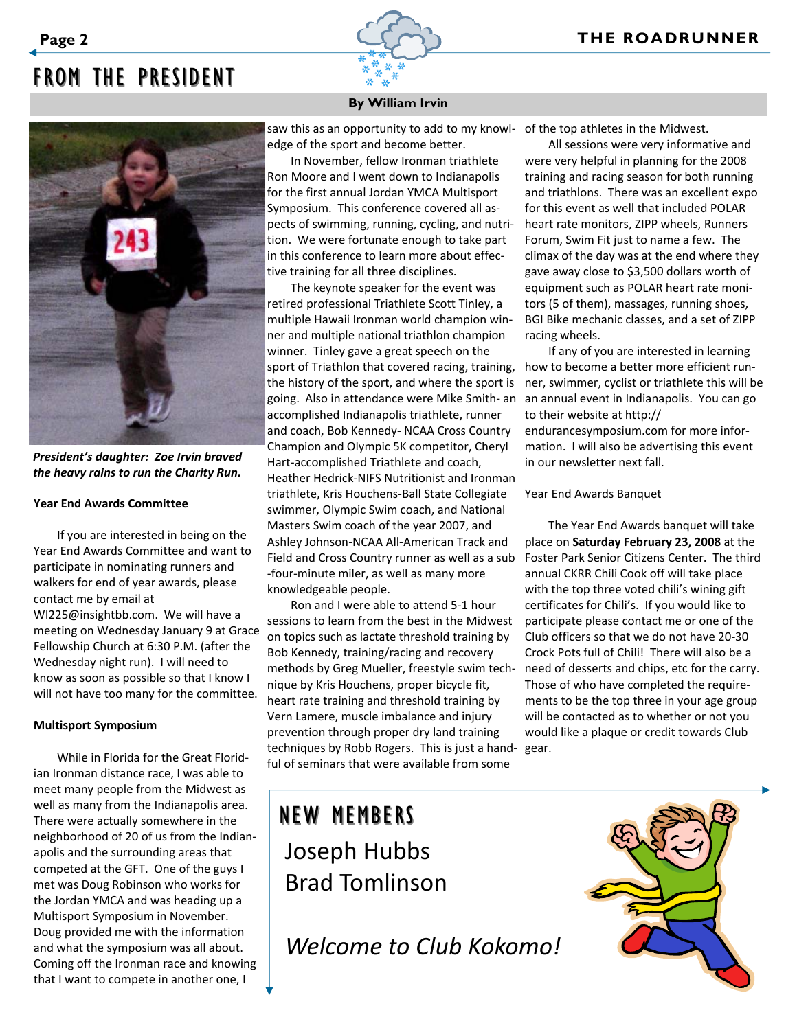# FROM THE PRESIDENT



*President's daughter: Zoe Irvin braved the heavy rains to run the Charity Run.*

#### **Year End Awards Committee**

If you are interested in being on the Year End Awards Committee and want to participate in nominating runners and walkers for end of year awards, please contact me by email at

WI225@insightbb.com. We will have a meeting on Wednesday January 9 at Grace Fellowship Church at 6:30 P.M. (after the Wednesday night run). I will need to know as soon as possible so that I know I will not have too many for the committee.

#### **Multisport Symposium**

While in Florida for the Great Florid‐ ian Ironman distance race, I was able to meet many people from the Midwest as well as many from the Indianapolis area. There were actually somewhere in the neighborhood of 20 of us from the Indian‐ apolis and the surrounding areas that competed at the GFT. One of the guys I met was Doug Robinson who works for the Jordan YMCA and was heading up a Multisport Symposium in November. Doug provided me with the information and what the symposium was all about. Coming off the Ironman race and knowing that I want to compete in another one, I

## **By William Irvin**

saw this as an opportunity to add to my knowl‐ edge of the sport and become better.

In November, fellow Ironman triathlete Ron Moore and I went down to Indianapolis for the first annual Jordan YMCA Multisport Symposium. This conference covered all as‐ pects of swimming, running, cycling, and nutri‐ tion. We were fortunate enough to take part in this conference to learn more about effec‐ tive training for all three disciplines.

The keynote speaker for the event was retired professional Triathlete Scott Tinley, a multiple Hawaii Ironman world champion win‐ ner and multiple national triathlon champion winner. Tinley gave a great speech on the sport of Triathlon that covered racing, training, the history of the sport, and where the sport is going. Also in attendance were Mike Smith‐ an accomplished Indianapolis triathlete, runner and coach, Bob Kennedy‐ NCAA Cross Country Champion and Olympic 5K competitor, Cheryl Hart‐accomplished Triathlete and coach, Heather Hedrick‐NIFS Nutritionist and Ironman triathlete, Kris Houchens‐Ball State Collegiate swimmer, Olympic Swim coach, and National Masters Swim coach of the year 2007, and Ashley Johnson‐NCAA All‐American Track and Field and Cross Country runner as well as a sub ‐four‐minute miler, as well as many more knowledgeable people.

techniques by Robb Rogers. This is just a hand- gear. Ron and I were able to attend 5‐1 hour sessions to learn from the best in the Midwest on topics such as lactate threshold training by Bob Kennedy, training/racing and recovery methods by Greg Mueller, freestyle swim tech‐ nique by Kris Houchens, proper bicycle fit, heart rate training and threshold training by Vern Lamere, muscle imbalance and injury prevention through proper dry land training ful of seminars that were available from some

# NEW MEMBERS Joseph Hubbs Brad Tomlinson

*Welcome to Club Kokomo!*

of the top athletes in the Midwest.

All sessions were very informative and were very helpful in planning for the 2008 training and racing season for both running and triathlons. There was an excellent expo for this event as well that included POLAR heart rate monitors, ZIPP wheels, Runners Forum, Swim Fit just to name a few. The climax of the day was at the end where they gave away close to \$3,500 dollars worth of equipment such as POLAR heart rate moni‐ tors (5 of them), massages, running shoes, BGI Bike mechanic classes, and a set of ZIPP racing wheels.

If any of you are interested in learning how to become a better more efficient run‐ ner, swimmer, cyclist or triathlete this will be an annual event in Indianapolis. You can go to their website at http:// endurancesymposium.com for more infor‐ mation. I will also be advertising this event in our newsletter next fall.

Year End Awards Banquet

The Year End Awards banquet will take place on **Saturday February 23, 2008** at the Foster Park Senior Citizens Center. The third annual CKRR Chili Cook off will take place with the top three voted chili's wining gift certificates for Chili's. If you would like to participate please contact me or one of the Club officers so that we do not have 20‐30 Crock Pots full of Chili! There will also be a need of desserts and chips, etc for the carry. Those of who have completed the require‐ ments to be the top three in your age group will be contacted as to whether or not you would like a plaque or credit towards Club

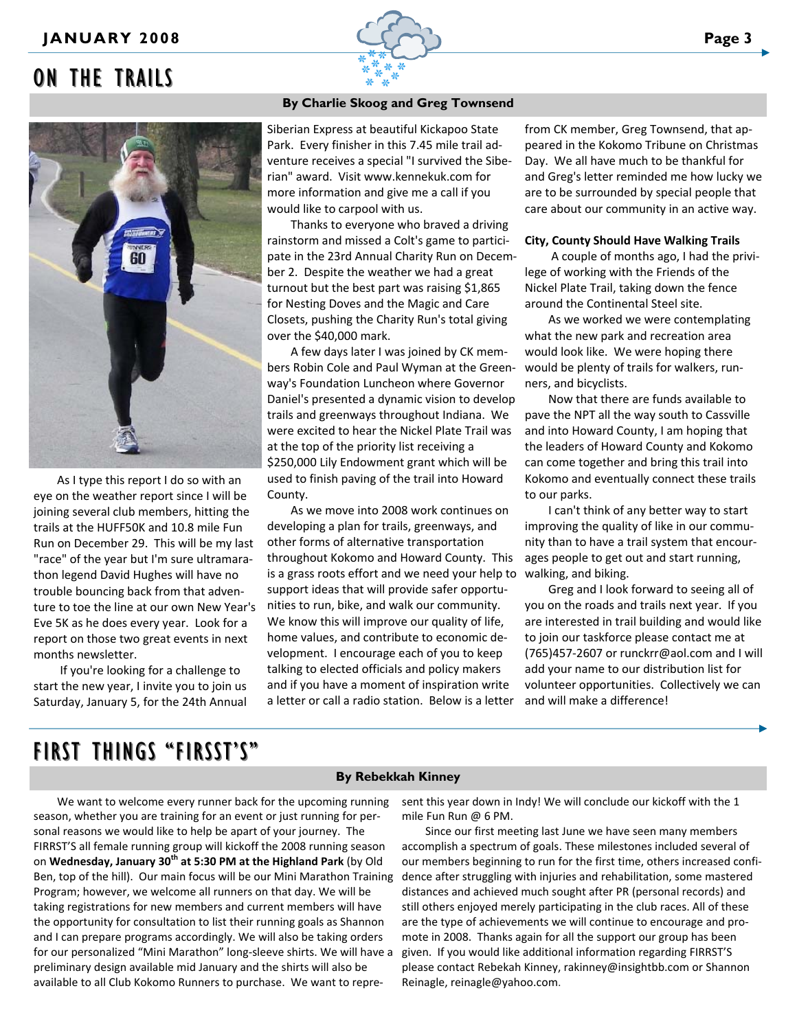# ON THE TRAILS



As I type this report I do so with an eye on the weather report since I will be joining several club members, hitting the trails at the HUFF50K and 10.8 mile Fun Run on December 29. This will be my last "race" of the year but I'm sure ultramara‐ thon legend David Hughes will have no trouble bouncing back from that adven‐ ture to toe the line at our own New Year's Eve 5K as he does every year. Look for a report on those two great events in next months newsletter.

If you're looking for a challenge to start the new year, I invite you to join us Saturday, January 5, for the 24th Annual

### **By Charlie Skoog and Greg Townsend**

Siberian Express at beautiful Kickapoo State Park. Every finisher in this 7.45 mile trail ad‐ venture receives a special "I survived the Sibe‐ rian" award. Visit www.kennekuk.com for more information and give me a call if you would like to carpool with us.

Thanks to everyone who braved a driving rainstorm and missed a Colt's game to partici‐ pate in the 23rd Annual Charity Run on Decem‐ ber 2. Despite the weather we had a great turnout but the best part was raising \$1,865 for Nesting Doves and the Magic and Care Closets, pushing the Charity Run's total giving over the \$40,000 mark.

A few days later I was joined by CK mem‐ bers Robin Cole and Paul Wyman at the Green‐ way's Foundation Luncheon where Governor Daniel's presented a dynamic vision to develop trails and greenways throughout Indiana. We were excited to hear the Nickel Plate Trail was at the top of the priority list receiving a \$250,000 Lily Endowment grant which will be used to finish paving of the trail into Howard County.

is a grass roots effort and we need your help to walking, and biking. As we move into 2008 work continues on developing a plan for trails, greenways, and other forms of alternative transportation throughout Kokomo and Howard County. This support ideas that will provide safer opportu‐ nities to run, bike, and walk our community. We know this will improve our quality of life, home values, and contribute to economic de‐ velopment. I encourage each of you to keep talking to elected officials and policy makers and if you have a moment of inspiration write a letter or call a radio station. Below is a letter

from CK member, Greg Townsend, that ap‐ peared in the Kokomo Tribune on Christmas Day. We all have much to be thankful for and Greg's letter reminded me how lucky we are to be surrounded by special people that care about our community in an active way.

#### **City, County Should Have Walking Trails**

A couple of months ago, I had the privi‐ lege of working with the Friends of the Nickel Plate Trail, taking down the fence around the Continental Steel site.

As we worked we were contemplating what the new park and recreation area would look like. We were hoping there would be plenty of trails for walkers, run‐ ners, and bicyclists.

Now that there are funds available to pave the NPT all the way south to Cassville and into Howard County, I am hoping that the leaders of Howard County and Kokomo can come together and bring this trail into Kokomo and eventually connect these trails to our parks.

I can't think of any better way to start improving the quality of like in our commu‐ nity than to have a trail system that encour‐ ages people to get out and start running,

Greg and I look forward to seeing all of you on the roads and trails next year. If you are interested in trail building and would like to join our taskforce please contact me at (765)457‐2607 or runckrr@aol.com and I will add your name to our distribution list for volunteer opportunities. Collectively we can and will make a difference!

# FIRST THINGS "FIRSST'S" FIRST THINGS "FIRSST'S"

## **By Rebekkah Kinney**

We want to welcome every runner back for the upcoming running season, whether you are training for an event or just running for per‐ sonal reasons we would like to help be apart of your journey. The FIRRST'S all female running group will kickoff the 2008 running season on **Wednesday, January 30th at 5:30 PM at the Highland Park** (by Old Ben, top of the hill). Our main focus will be our Mini Marathon Training Program; however, we welcome all runners on that day. We will be taking registrations for new members and current members will have the opportunity for consultation to list their running goals as Shannon and I can prepare programs accordingly. We will also be taking orders for our personalized "Mini Marathon" long‐sleeve shirts. We will have a preliminary design available mid January and the shirts will also be available to all Club Kokomo Runners to purchase. We want to repre‐

sent this year down in Indy! We will conclude our kickoff with the 1 mile Fun Run @ 6 PM.

Since our first meeting last June we have seen many members accomplish a spectrum of goals. These milestones included several of our members beginning to run for the first time, others increased confi‐ dence after struggling with injuries and rehabilitation, some mastered distances and achieved much sought after PR (personal records) and still others enjoyed merely participating in the club races. All of these are the type of achievements we will continue to encourage and pro‐ mote in 2008. Thanks again for all the support our group has been given. If you would like additional information regarding FIRRST'S please contact Rebekah Kinney, rakinney@insightbb.com or Shannon Reinagle, reinagle@yahoo.com.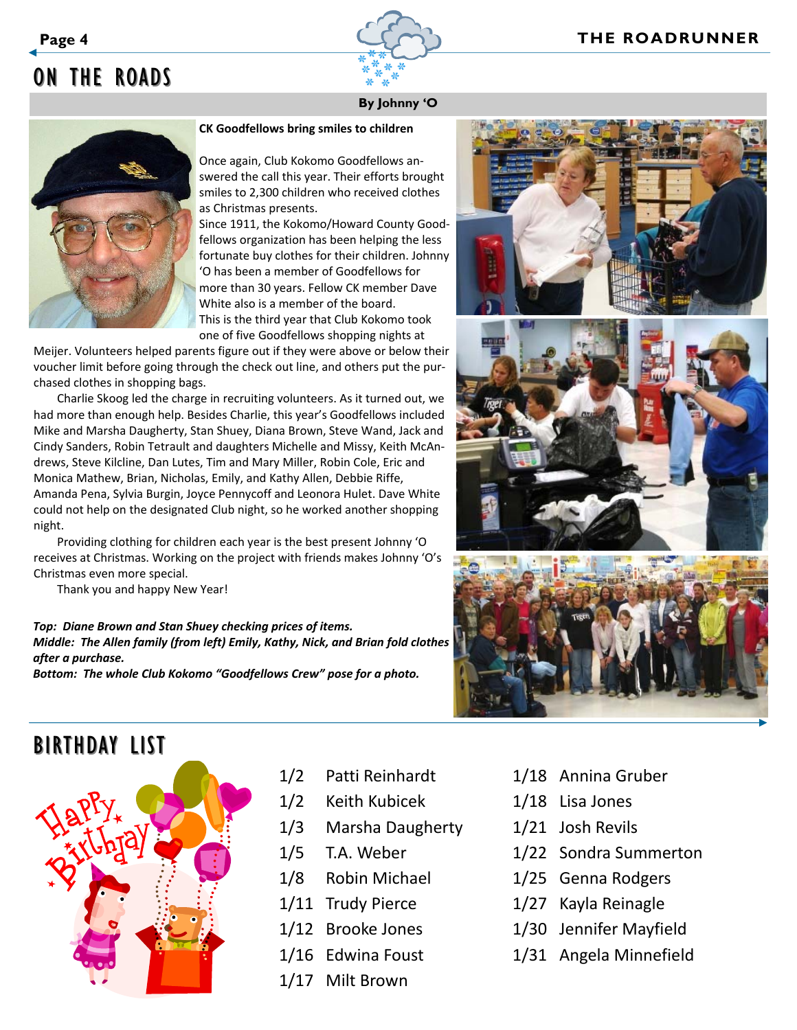

# ON THE ROADS

# **By Johnny 'O**

## **CK Goodfellows bring smiles to children**

Once again, Club Kokomo Goodfellows an‐ swered the call this year. Their efforts brought smiles to 2,300 children who received clothes as Christmas presents.

Since 1911, the Kokomo/Howard County Good‐ fellows organization has been helping the less fortunate buy clothes for their children. Johnny 'O has been a member of Goodfellows for more than 30 years. Fellow CK member Dave White also is a member of the board. This is the third year that Club Kokomo took one of five Goodfellows shopping nights at

Meijer. Volunteers helped parents figure out if they were above or below their voucher limit before going through the check out line, and others put the pur‐ chased clothes in shopping bags.

Charlie Skoog led the charge in recruiting volunteers. As it turned out, we had more than enough help. Besides Charlie, this year's Goodfellows included Mike and Marsha Daugherty, Stan Shuey, Diana Brown, Steve Wand, Jack and Cindy Sanders, Robin Tetrault and daughters Michelle and Missy, Keith McAn‐ drews, Steve Kilcline, Dan Lutes, Tim and Mary Miller, Robin Cole, Eric and Monica Mathew, Brian, Nicholas, Emily, and Kathy Allen, Debbie Riffe, Amanda Pena, Sylvia Burgin, Joyce Pennycoff and Leonora Hulet. Dave White could not help on the designated Club night, so he worked another shopping night.

Providing clothing for children each year is the best present Johnny 'O receives at Christmas. Working on the project with friends makes Johnny 'O's Christmas even more special.

Thank you and happy New Year!

*Top: Diane Brown and Stan Shuey checking prices of items. Middle: The Allen family (from left) Emily, Kathy, Nick, and Brian fold clothes after a purchase.*

*Bottom: The whole Club Kokomo "Goodfellows Crew" pose for a photo.*







# BIRTHDAY LIST



- 1/2 Patti Reinhardt
- 1/2 Keith Kubicek
- 1/3 Marsha Daugherty
- 1/5 T.A. Weber
- 1/8 Robin Michael
- 1/11 Trudy Pierce
- 1/12 Brooke Jones
- 1/16 Edwina Foust
- 1/17 Milt Brown
- 1/18 Annina Gruber
- 1/18 Lisa Jones
- 1/21 Josh Revils
- 1/22 Sondra Summerton
- 1/25 Genna Rodgers
- 1/27 Kayla Reinagle
- 1/30 Jennifer Mayfield
- 1/31 Angela Minnefield

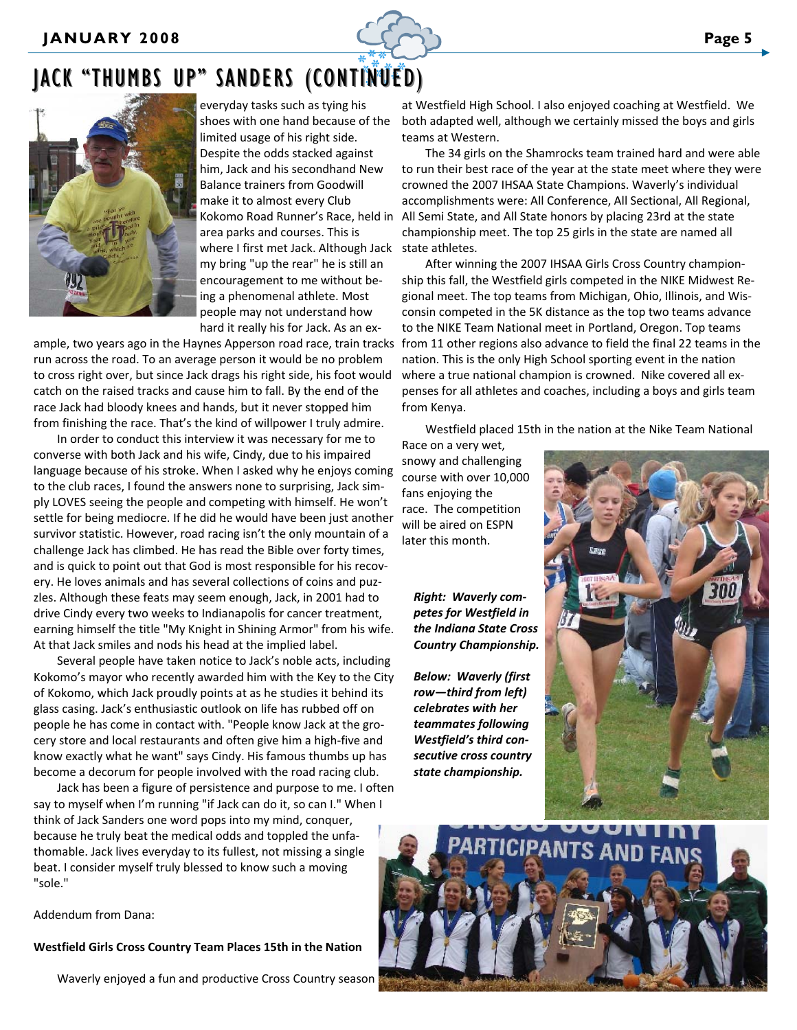

# JACK "THUMBS UP" SANDERS (CONTINUED)



everyday tasks such as tying his shoes with one hand because of the limited usage of his right side. Despite the odds stacked against him, Jack and his secondhand New Balance trainers from Goodwill make it to almost every Club Kokomo Road Runner's Race, held in area parks and courses. This is where I first met Jack. Although Jack my bring "up the rear" he is still an encouragement to me without be‐ ing a phenomenal athlete. Most people may not understand how hard it really his for Jack. As an ex‐

ample, two years ago in the Haynes Apperson road race, train tracks run across the road. To an average person it would be no problem to cross right over, but since Jack drags his right side, his foot would catch on the raised tracks and cause him to fall. By the end of the race Jack had bloody knees and hands, but it never stopped him from finishing the race. That's the kind of willpower I truly admire.

In order to conduct this interview it was necessary for me to converse with both Jack and his wife, Cindy, due to his impaired language because of his stroke. When I asked why he enjoys coming to the club races, I found the answers none to surprising, Jack simply LOVES seeing the people and competing with himself. He won't settle for being mediocre. If he did he would have been just another survivor statistic. However, road racing isn't the only mountain of a challenge Jack has climbed. He has read the Bible over forty times, and is quick to point out that God is most responsible for his recovery. He loves animals and has several collections of coins and puz‐ zles. Although these feats may seem enough, Jack, in 2001 had to drive Cindy every two weeks to Indianapolis for cancer treatment, earning himself the title "My Knight in Shining Armor" from his wife. At that Jack smiles and nods his head at the implied label.

Several people have taken notice to Jack's noble acts, including Kokomo's mayor who recently awarded him with the Key to the City of Kokomo, which Jack proudly points at as he studies it behind its glass casing. Jack's enthusiastic outlook on life has rubbed off on people he has come in contact with. "People know Jack at the grocery store and local restaurants and often give him a high‐five and know exactly what he want" says Cindy. His famous thumbs up has become a decorum for people involved with the road racing club.

Jack has been a figure of persistence and purpose to me. I often say to myself when I'm running "if Jack can do it, so can I." When I think of Jack Sanders one word pops into my mind, conquer, because he truly beat the medical odds and toppled the unfa‐ thomable. Jack lives everyday to its fullest, not missing a single beat. I consider myself truly blessed to know such a moving "sole."

Addendum from Dana:

#### **Westfield Girls Cross Country Team Places 15th in the Nation**

Waverly enjoyed a fun and productive Cross Country season

at Westfield High School. I also enjoyed coaching at Westfield. We both adapted well, although we certainly missed the boys and girls teams at Western.

The 34 girls on the Shamrocks team trained hard and were able to run their best race of the year at the state meet where they were crowned the 2007 IHSAA State Champions. Waverly's individual accomplishments were: All Conference, All Sectional, All Regional, All Semi State, and All State honors by placing 23rd at the state championship meet. The top 25 girls in the state are named all state athletes.

After winning the 2007 IHSAA Girls Cross Country champion‐ ship this fall, the Westfield girls competed in the NIKE Midwest Re‐ gional meet. The top teams from Michigan, Ohio, Illinois, and Wis‐ consin competed in the 5K distance as the top two teams advance to the NIKE Team National meet in Portland, Oregon. Top teams from 11 other regions also advance to field the final 22 teams in the nation. This is the only High School sporting event in the nation where a true national champion is crowned. Nike covered all expenses for all athletes and coaches, including a boys and girls team from Kenya.

Westfield placed 15th in the nation at the Nike Team National

Race on a very wet, snowy and challenging course with over 10,000 fans enjoying the race. The competition will be aired on ESPN later this month.

*Right: Waverly com‐ petes for Westfield in the Indiana State Cross Country Championship.*

*Below: Waverly (first row—third from left) celebrates with her teammates following Westfield's third con‐ secutive cross country state championship.*



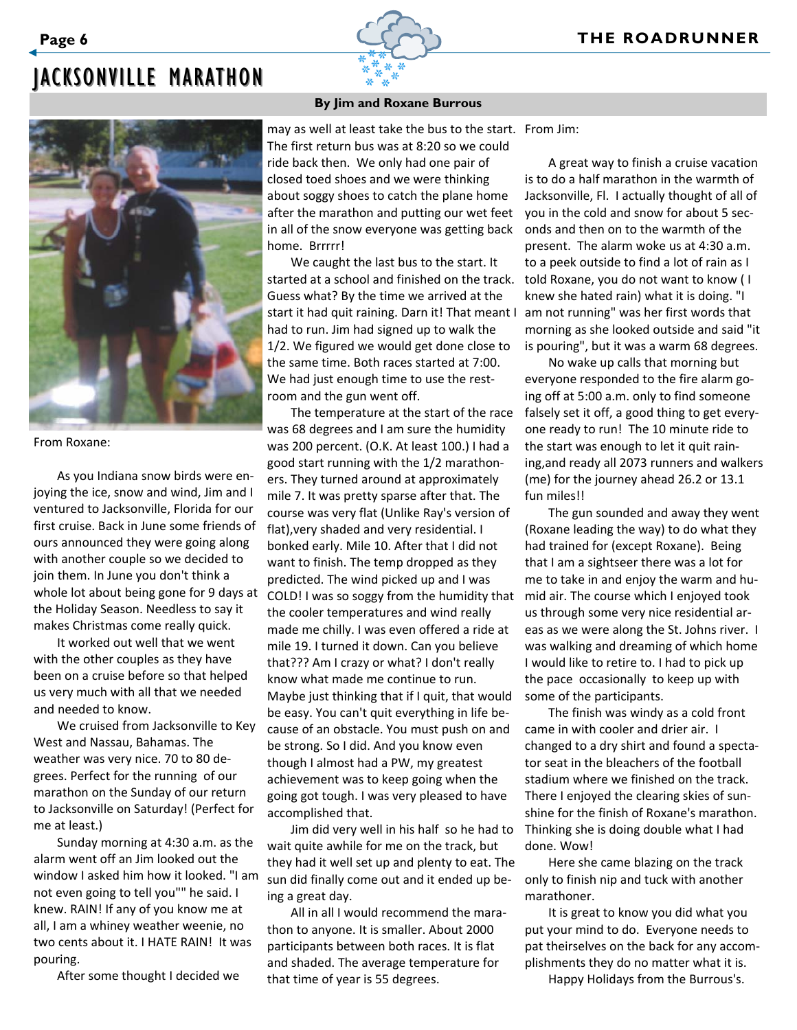# JACKSONVILLE MARATHON



#### From Roxane:

As you Indiana snow birds were en‐ joying the ice, snow and wind, Jim and I ventured to Jacksonville, Florida for our first cruise. Back in June some friends of ours announced they were going along with another couple so we decided to join them. In June you don't think a whole lot about being gone for 9 days at the Holiday Season. Needless to say it makes Christmas come really quick.

It worked out well that we went with the other couples as they have been on a cruise before so that helped us very much with all that we needed and needed to know.

We cruised from Jacksonville to Key West and Nassau, Bahamas. The weather was very nice. 70 to 80 de‐ grees. Perfect for the running of our marathon on the Sunday of our return to Jacksonville on Saturday! (Perfect for me at least.)

Sunday morning at 4:30 a.m. as the alarm went off an Jim looked out the window I asked him how it looked. "I am not even going to tell you"" he said. I knew. RAIN! If any of you know me at all, I am a whiney weather weenie, no two cents about it. I HATE RAIN! It was pouring.

After some thought I decided we

### **By Jim and Roxane Burrous**

may as well at least take the bus to the start. From Jim: The first return bus was at 8:20 so we could ride back then. We only had one pair of closed toed shoes and we were thinking about soggy shoes to catch the plane home after the marathon and putting our wet feet in all of the snow everyone was getting back home. Brrrrr!

We caught the last bus to the start. It started at a school and finished on the track. Guess what? By the time we arrived at the start it had quit raining. Darn it! That meant I had to run. Jim had signed up to walk the 1/2. We figured we would get done close to the same time. Both races started at 7:00. We had just enough time to use the restroom and the gun went off.

The temperature at the start of the race was 68 degrees and I am sure the humidity was 200 percent. (O.K. At least 100.) I had a good start running with the 1/2 marathon‐ ers. They turned around at approximately mile 7. It was pretty sparse after that. The course was very flat (Unlike Ray's version of flat),very shaded and very residential. I bonked early. Mile 10. After that I did not want to finish. The temp dropped as they predicted. The wind picked up and I was COLD! I was so soggy from the humidity that the cooler temperatures and wind really made me chilly. I was even offered a ride at mile 19. I turned it down. Can you believe that??? Am I crazy or what? I don't really know what made me continue to run. Maybe just thinking that if I quit, that would be easy. You can't quit everything in life be‐ cause of an obstacle. You must push on and be strong. So I did. And you know even though I almost had a PW, my greatest achievement was to keep going when the going got tough. I was very pleased to have accomplished that.

Jim did very well in his half so he had to Thinking she is doing double what I had wait quite awhile for me on the track, but they had it well set up and plenty to eat. The sun did finally come out and it ended up be‐ ing a great day.

All in all I would recommend the mara‐ thon to anyone. It is smaller. About 2000 participants between both races. It is flat and shaded. The average temperature for that time of year is 55 degrees.

A great way to finish a cruise vacation is to do a half marathon in the warmth of Jacksonville, Fl. I actually thought of all of you in the cold and snow for about 5 sec‐ onds and then on to the warmth of the present. The alarm woke us at 4:30 a.m. to a peek outside to find a lot of rain as I told Roxane, you do not want to know ( I knew she hated rain) what it is doing. "I am not running" was her first words that morning as she looked outside and said "it is pouring", but it was a warm 68 degrees.

No wake up calls that morning but everyone responded to the fire alarm go‐ ing off at 5:00 a.m. only to find someone falsely set it off, a good thing to get every‐ one ready to run! The 10 minute ride to the start was enough to let it quit rain‐ ing,and ready all 2073 runners and walkers (me) for the journey ahead 26.2 or 13.1 fun miles!!

The gun sounded and away they went (Roxane leading the way) to do what they had trained for (except Roxane). Being that I am a sightseer there was a lot for me to take in and enjoy the warm and hu‐ mid air. The course which I enjoyed took us through some very nice residential ar‐ eas as we were along the St. Johns river. I was walking and dreaming of which home I would like to retire to. I had to pick up the pace occasionally to keep up with some of the participants.

The finish was windy as a cold front came in with cooler and drier air. I changed to a dry shirt and found a specta‐ tor seat in the bleachers of the football stadium where we finished on the track. There I enjoyed the clearing skies of sun‐ shine for the finish of Roxane's marathon. done. Wow!

Here she came blazing on the track only to finish nip and tuck with another marathoner.

It is great to know you did what you put your mind to do. Everyone needs to pat theirselves on the back for any accom‐ plishments they do no matter what it is.

Happy Holidays from the Burrous's.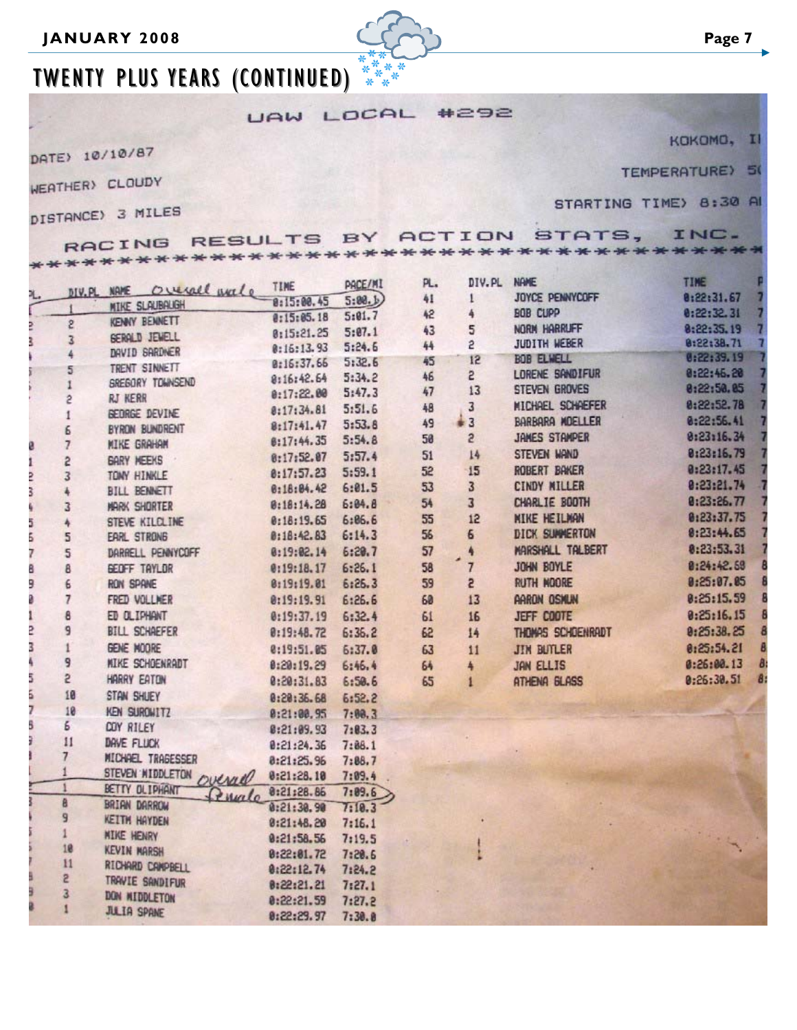

# TWENTY PLUS YEARS (CONTINUED)

UAW LOCAL #292

DATE> 10/10/87

WEATHER) CLOUDY

F  $+ + +$ 

 $\cdots$ DISTA

TEMPERATURE) 50

KOKOMO,

| NCE) 3 MILES                                                                   |  |  | STARTING TIME) 8:30 A |  |
|--------------------------------------------------------------------------------|--|--|-----------------------|--|
| RACING RESULTS BY ACTION STATS, INC.<br>************************************** |  |  |                       |  |
| IV.PL NAME OURCARD WALL TIME PACE/MI PL. DIV.PL NAME                           |  |  | <b>TIME</b>           |  |
|                                                                                |  |  | $8:22:31.67$ 7        |  |

|    |                 | MIKE SLAUBAUGH                 | 8:15:00.45 | 5:88.  | 41 |                 | <b>JUTLE PENNTLUFF</b> | 0100131.01             |
|----|-----------------|--------------------------------|------------|--------|----|-----------------|------------------------|------------------------|
|    |                 | KENNY BENNETT                  | 0:15:05.18 | 5:01.7 | 42 |                 | <b>BOB CUPP</b>        | 0:22:32.31             |
|    | S               | <b>SERALD JEWELL</b>           | 0:15:21.25 | 5:07.1 | 43 | 5               | NORM HARRUFF           | 8:22:35.19             |
|    | 3               | DAVID SARDNER                  | 0:16:13.93 | 5:24.6 | 44 | S               | JUDITH WEBER           | 8:22:38.71             |
|    |                 | TRENT SINNETT                  | 0:16:37.66 | 5:32.6 | 45 | 12              | <b>BOB ELWELL</b>      | 0:22:39.19             |
|    | 5               | <b><i>GREGORY TOWNSEND</i></b> | 8:16:42.64 | 5:34.2 | 46 | $\overline{c}$  | LORENE SANDIFUR        | 8:22:46.20             |
|    | 2               | <b>RJ KERR</b>                 | 0:17:22.00 | 5:47.3 | 47 | 13              | <b>STEVEN GROVES</b>   | 8:22:50.85             |
|    | 1               | BEDRGE DEVINE                  | 8:17:34.81 | 5:51.6 | 48 | 3               | MICHAEL SCHAEFER       | 0:22:52.78             |
|    | Б               | BYRON BUNDRENT                 | 8:17:41.47 | 5:53.8 | 49 | $\frac{1}{2}$ 3 | BARBARA MOELLER        | 0:22:56.41             |
| ø. | $\overline{7}$  | <b>MIKE GRAHAM</b>             | 8:17:44.35 | 5:54.8 | 50 | $\overline{c}$  | JAMES STAMPER          | 8:23:16.34             |
| ī  | 5               | <b>GARY MEEKS</b>              | 8:17:52.07 | 5:57.4 | 51 | 14              | STEVEN WAND            | 0:23:16.79             |
| 2  | 3               | TONY HINKLE                    | 0:17:57.23 | 5:59.1 | 52 | 15              | ROBERT BAKER           | 0:23:17.45             |
| 3  |                 | <b>BILL BENNETT</b>            | 8:18:04.42 | 6:01.5 | 53 | $\overline{3}$  | CINDY MILLER           | 0:23:21.74             |
|    | 3               | <b>MARK SHORTER</b>            | 0:18:14.28 | 6:84.8 | 54 | 3               | CHARLIE BOOTH          | 0:23:26.77             |
| 5  | 4               | STEVE KILCLINE                 | 0:18:19.65 | 6:06.6 | 55 | 12              | <b>NIKE HEILMAN</b>    | 0:23:37.75             |
| 5  | 5               | EARL STRONG                    | 0:18:42.83 | 6:14.3 | 56 | 6               | <b>DICK SUMMERTON</b>  | 8:23:44.65             |
| 7  | 5               | DARRELL PENNYCOFF              | 8:19:02.14 | 6:20.7 | 57 |                 | MARSHALL TALBERT       | 0:23:53.31             |
| 8  | 8               | GEOFF TAYLOR                   | 0:19:18.17 | 6:26.1 | 58 | $\overline{7}$  | <b>JOHN BOYLE</b>      | 0:24:42.58             |
| 9  | 6               | <b>RON SPANE</b>               | 0:19:19.01 | 6:26.3 | 59 | S.              | <b>RUTH MOORE</b>      | 0:25:07.05             |
|    | $\overline{7}$  | FRED VOLLMER                   | 0:19:19.91 | 6:26.6 | 60 | 13              | <b>AARON OSKUN</b>     | 0:25:15.59             |
|    | 8               | ED OLIPHANT                    | 0:19:37.19 | 6:32.4 | 61 | 16              | <b>JEFF COOTE</b>      | 0:25:16.15             |
| 2  | 9               | <b>BILL SCHAEFER</b>           | 0:19:48.72 | 6:36.2 | 62 | 14              | THOMAS SCHOENRADT      | 0:25:38.25             |
| 3  | 1               | GENE MOORE                     | 0:19:51.05 | 6:37.0 | 63 | 11              | <b>JIM BUTLER</b>      | 0:25:54.21             |
|    | 9               | <b>MIKE SCHOENRADT</b>         | 0:20:19.29 | 6:46.4 | 64 |                 | JAN ELLIS              | $\theta$<br>0:26:00.13 |
| 5  | 5               | HARRY EATON                    | 0:20:31.83 | 6:50.6 | 65 | 1               | ATHENA BLASS           | 8<br>0:26:30.51        |
| 5  | 10              | STAN SHUEY                     | 0:20:36.68 | 6:52.2 |    |                 |                        |                        |
| 7  | 10              | KEN SURGWITZ                   | 0:21:00.95 | 7:88.3 |    |                 |                        |                        |
| 5  | 6               | COY RILEY                      | 0:21:09.93 | 7:83.3 |    |                 |                        |                        |
|    | 11              | <b>DAVE FLUCK</b>              | 0:21:24.36 | 7:86.1 |    |                 |                        |                        |
|    | $7\phantom{.0}$ | MICHAEL TRAGESSER              | 8:21:25.96 | 7:88.7 |    |                 |                        |                        |
|    |                 | STEVEN MIDDLETON OVENUE        | 0:21:28.10 | 7:09.4 |    |                 |                        |                        |
|    |                 | BETTY OLIPHANT<br>Lengalo      | 0:21:28.86 | 7:09.6 |    |                 |                        |                        |
|    | 8               | BRIAN DARROW                   | 0:21:30.90 | 7:10.3 |    |                 |                        |                        |
|    | 9               | <b>KEITH HAYDEN</b>            | 0:21:48.20 | 7:16.1 |    |                 |                        |                        |
|    |                 | <b>NIKE HENRY</b>              | 0:21:58.56 | 7:19.5 |    |                 |                        |                        |
|    | 18              | <b>KEVIN MARSH</b>             | 8:22:81.72 | 7:20.6 |    |                 |                        |                        |
|    | 11              | RICHARD CAMPBELL               | 0:22:12.74 | 7:24.2 |    |                 |                        |                        |
|    | 2               | TRAVIE SANDIFUR                | 0:22:21.21 | 7:27.1 |    |                 |                        |                        |
|    | 3               | DON MIDDLETON                  | 0:22:21.59 | 7:27.2 |    |                 |                        |                        |
|    |                 | <b>JULIA SPANE</b>             | 0:22:29.97 | 7:30.8 |    |                 |                        |                        |

 $\blacksquare$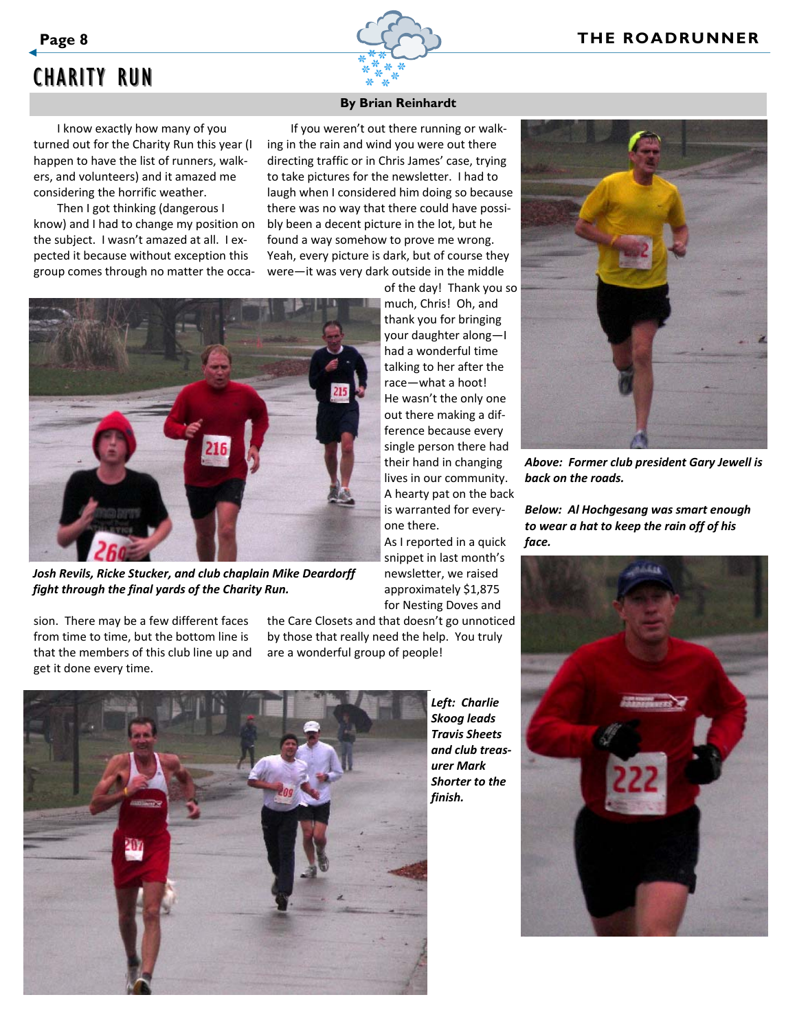

# CHARITY RUN

I know exactly how many of you turned out for the Charity Run this year (I happen to have the list of runners, walk‐ ers, and volunteers) and it amazed me considering the horrific weather.

Then I got thinking (dangerous I know) and I had to change my position on the subject. I wasn't amazed at all. I ex‐ pected it because without exception this group comes through no matter the occa‐

# **By Brian Reinhardt**

If you weren't out there running or walk‐ ing in the rain and wind you were out there directing traffic or in Chris James' case, trying to take pictures for the newsletter. I had to laugh when I considered him doing so because there was no way that there could have possi‐ bly been a decent picture in the lot, but he found a way somehow to prove me wrong. Yeah, every picture is dark, but of course they were—it was very dark outside in the middle of the day! Thank you so



*Josh Revils, Ricke Stucker, and club chaplain Mike Deardorff fight through the final yards of the Charity Run.*

sion. There may be a few different faces from time to time, but the bottom line is that the members of this club line up and get it done every time.

your daughter along—I had a wonderful time talking to her after the race—what a hoot! He wasn't the only one out there making a dif‐ ference because every single person there had their hand in changing lives in our community. A hearty pat on the back is warranted for every‐ one there. As I reported in a quick

much, Chris! Oh, and thank you for bringing

snippet in last month's newsletter, we raised approximately \$1,875 for Nesting Doves and

the Care Closets and that doesn't go unnoticed by those that really need the help. You truly

are a wonderful group of people!



*Left: Charlie Skoog leads Travis Sheets and club treas‐ urer Mark Shorter to the*



*Above: Former club president Gary Jewell is back on the roads.*

*Below: Al Hochgesang was smart enough to wear a hat to keep the rain off of his face.*

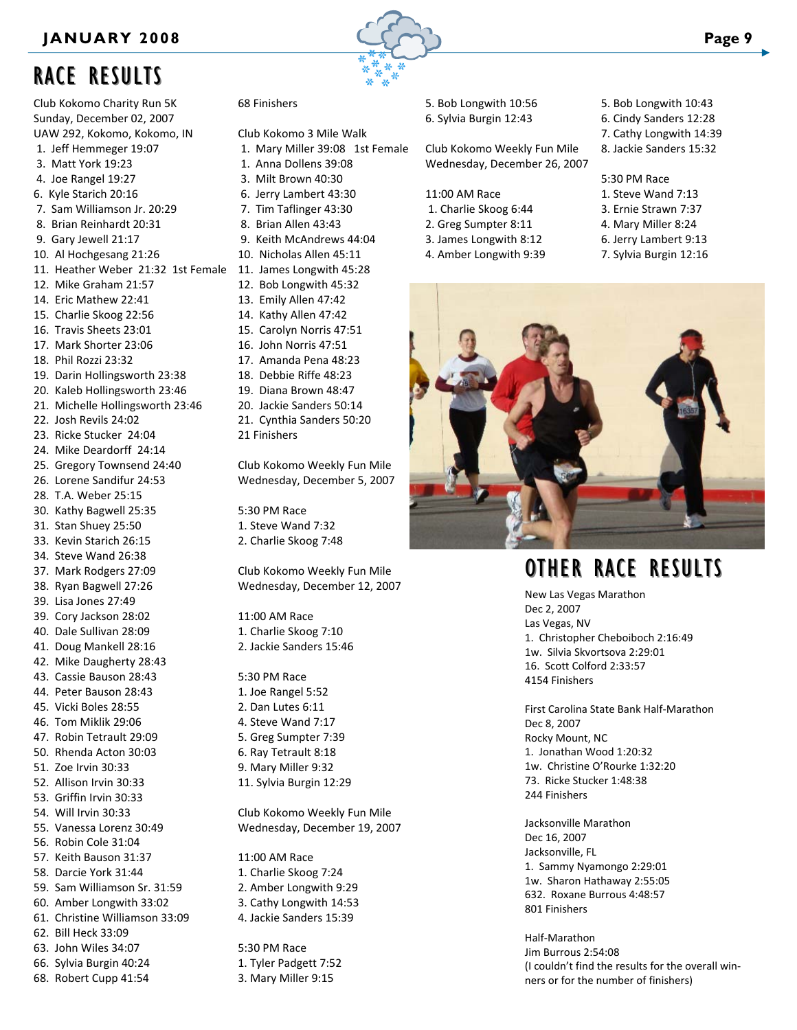# RACE RESULTS

Club Kokomo Charity Run 5K Sunday, December 02, 2007 UAW 292, Kokomo, Kokomo, IN 1. Jeff Hemmeger 19:07 3. Matt York 19:23 4. Joe Rangel 19:27 6. Kyle Starich 20:16 7. Sam Williamson Jr. 20:29 8. Brian Reinhardt 20:31 9. Gary Jewell 21:17 10. Al Hochgesang 21:26 11. Heather Weber 21:32 1st Female 11. James Longwith 45:28 12. Mike Graham 21:57 14. Eric Mathew 22:41 15. Charlie Skoog 22:56 16. Travis Sheets 23:01 17. Mark Shorter 23:06 18. Phil Rozzi 23:32 19. Darin Hollingsworth 23:38 20. Kaleb Hollingsworth 23:46 21. Michelle Hollingsworth 23:46 22. Josh Revils 24:02 23. Ricke Stucker 24:04 24. Mike Deardorff 24:14 25. Gregory Townsend 24:40 26. Lorene Sandifur 24:53 28. T.A. Weber 25:15 30. Kathy Bagwell 25:35 31. Stan Shuey 25:50 33. Kevin Starich 26:15 34. Steve Wand 26:38 37. Mark Rodgers 27:09 38. Ryan Bagwell 27:26 39. Lisa Jones 27:49 39. Cory Jackson 28:02 40. Dale Sullivan 28:09 41. Doug Mankell 28:16 42. Mike Daugherty 28:43 43. Cassie Bauson 28:43 44. Peter Bauson 28:43 45. Vicki Boles 28:55 46. Tom Miklik 29:06 47. Robin Tetrault 29:09 50. Rhenda Acton 30:03 51. Zoe Irvin 30:33 52. Allison Irvin 30:33 53. Griffin Irvin 30:33 54. Will Irvin 30:33 55. Vanessa Lorenz 30:49 56. Robin Cole 31:04 57. Keith Bauson 31:37 58. Darcie York 31:44 59. Sam Williamson Sr. 31:59 60. Amber Longwith 33:02 61. Christine Williamson 33:09 62. Bill Heck 33:09

### 63. John Wiles 34:07

- 66. Sylvia Burgin 40:24
- 68. Robert Cupp 41:54



# 68 Finishers

Club Kokomo 3 Mile Walk 1. Mary Miller 39:08 1st Female 1. Anna Dollens 39:08 3. Milt Brown 40:30 6. Jerry Lambert 43:30 7. Tim Taflinger 43:30 8. Brian Allen 43:43 9. Keith McAndrews 44:04 10. Nicholas Allen 45:11 12. Bob Longwith 45:32 13. Emily Allen 47:42

- 14. Kathy Allen 47:42
- 15. Carolyn Norris 47:51
- 16. John Norris 47:51
- 17. Amanda Pena 48:23
- 18. Debbie Riffe 48:23
- 19. Diana Brown 48:47
- 20. Jackie Sanders 50:14
- 21. Cynthia Sanders 50:20 21 Finishers
- 

Club Kokomo Weekly Fun Mile Wednesday, December 5, 2007

5:30 PM Race 1. Steve Wand 7:32 2. Charlie Skoog 7:48

Club Kokomo Weekly Fun Mile Wednesday, December 12, 2007

11:00 AM Race 1. Charlie Skoog 7:10 2. Jackie Sanders 15:46

5:30 PM Race 1. Joe Rangel 5:52 2. Dan Lutes 6:11 4. Steve Wand 7:17 5. Greg Sumpter 7:39 6. Ray Tetrault 8:18 9. Mary Miller 9:32 11. Sylvia Burgin 12:29

Club Kokomo Weekly Fun Mile Wednesday, December 19, 2007

11:00 AM Race 1. Charlie Skoog 7:24 2. Amber Longwith 9:29 3. Cathy Longwith 14:53 4. Jackie Sanders 15:39

5:30 PM Race 1. Tyler Padgett 7:52 3. Mary Miller 9:15

5. Bob Longwith 10:56 6. Sylvia Burgin 12:43

Club Kokomo Weekly Fun Mile Wednesday, December 26, 2007

- 11:00 AM Race
- 1. Charlie Skoog 6:44
- 2. Greg Sumpter 8:11
- 3. James Longwith 8:12
- 4. Amber Longwith 9:39
- 5. Bob Longwith 10:43
- 6. Cindy Sanders 12:28
- 7. Cathy Longwith 14:39 8. Jackie Sanders 15:32
- 

#### 5:30 PM Race

- 1. Steve Wand 7:13
- 3. Ernie Strawn 7:37
- 4. Mary Miller 8:24
- 6. Jerry Lambert 9:13
- 7. Sylvia Burgin 12:16



# OTHER RACE RESULTS

New Las Vegas Marathon Dec 2, 2007 Las Vegas, NV 1. Christopher Cheboiboch 2:16:49 1w. Silvia Skvortsova 2:29:01 16. Scott Colford 2:33:57 4154 Finishers

First Carolina State Bank Half‐Marathon Dec 8, 2007 Rocky Mount, NC 1. Jonathan Wood 1:20:32 1w. Christine O'Rourke 1:32:20 73. Ricke Stucker 1:48:38 244 Finishers

Jacksonville Marathon Dec 16, 2007 Jacksonville, FL 1. Sammy Nyamongo 2:29:01 1w. Sharon Hathaway 2:55:05 632. Roxane Burrous 4:48:57 801 Finishers

Half‐Marathon Jim Burrous 2:54:08 (I couldn't find the results for the overall win‐ ners or for the number of finishers)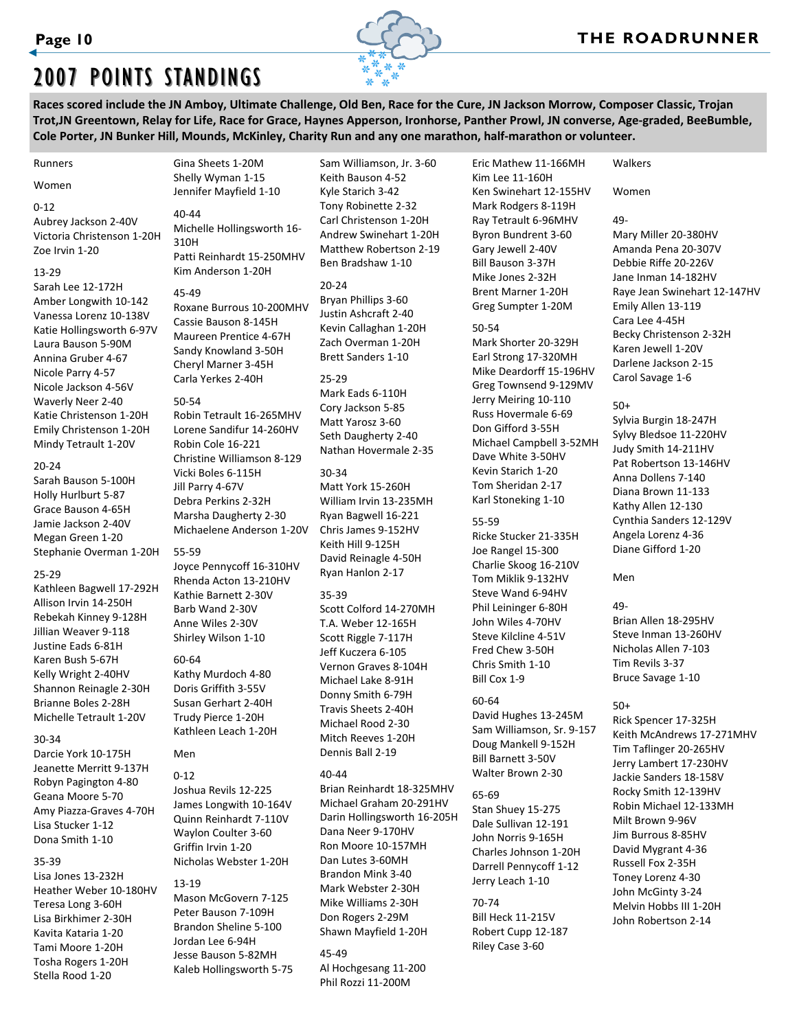

# 2007 POINTS STANDINGS

Races scored include the JN Amboy, Ultimate Challenge, Old Ben, Race for the Cure, JN Jackson Morrow, Composer Classic, Trojan Trot, JN Greentown, Relay for Life, Race for Grace, Haynes Apperson, Ironhorse, Panther Prowl, JN converse, Age-graded, BeeBumble, Cole Porter, JN Bunker Hill, Mounds, McKinley, Charity Run and any one marathon, half-marathon or volunteer.

#### Runners

Women

#### 0‐12

Aubrey Jackson 2‐40V Victoria Christenson 1‐20H Zoe Irvin 1‐20

#### 13‐29

Sarah Lee 12‐172H Amber Longwith 10‐142 Vanessa Lorenz 10‐138V Katie Hollingsworth 6‐97V Laura Bauson 5‐90M Annina Gruber 4‐67 Nicole Parry 4‐57 Nicole Jackson 4‐56V Waverly Neer 2‐40 Katie Christenson 1‐20H Emily Christenson 1‐20H Mindy Tetrault 1‐20V

#### 20‐24

Sarah Bauson 5‐100H Holly Hurlburt 5‐87 Grace Bauson 4‐65H Jamie Jackson 2‐40V Megan Green 1‐20 Stephanie Overman 1‐20H

#### 25‐29

Kathleen Bagwell 17‐292H Allison Irvin 14‐250H Rebekah Kinney 9‐128H Jillian Weaver 9‐118 Justine Eads 6‐81H Karen Bush 5‐67H Kelly Wright 2‐40HV Shannon Reinagle 2‐30H Brianne Boles 2‐28H Michelle Tetrault 1‐20V

### 30‐34

Darcie York 10‐175H Jeanette Merritt 9‐137H Robyn Pagington 4‐80 Geana Moore 5‐70 Amy Piazza‐Graves 4‐70H Lisa Stucker 1‐12 Dona Smith 1‐10

# 35‐39

Lisa Jones 13‐232H Heather Weber 10‐180HV Teresa Long 3‐60H Lisa Birkhimer 2‐30H Kavita Kataria 1‐20 Tami Moore 1‐20H Tosha Rogers 1‐20H Stella Rood 1‐20

## Gina Sheets 1‐20M Shelly Wyman 1‐15 Jennifer Mayfield 1‐10 40‐44

Michelle Hollingsworth 16‐ 310H Patti Reinhardt 15‐250MHV Kim Anderson 1‐20H

45‐49 Roxane Burrous 10‐200MHV Cassie Bauson 8‐145H Maureen Prentice 4‐67H Sandy Knowland 3‐50H Cheryl Marner 3‐45H Carla Yerkes 2‐40H

#### 50‐54

Robin Tetrault 16‐265MHV Lorene Sandifur 14‐260HV Robin Cole 16‐221 Christine Williamson 8‐129 Vicki Boles 6‐115H Jill Parry 4‐67V Debra Perkins 2‐32H Marsha Daugherty 2‐30 Michaelene Anderson 1‐20V

#### 55‐59

Joyce Pennycoff 16‐310HV Rhenda Acton 13‐210HV Kathie Barnett 2‐30V Barb Wand 2‐30V Anne Wiles 2‐30V Shirley Wilson 1‐10

## 60‐64

Kathy Murdoch 4‐80 Doris Griffith 3‐55V Susan Gerhart 2‐40H Trudy Pierce 1‐20H Kathleen Leach 1‐20H

## Men

 $0 - 12$ Joshua Revils 12‐225 James Longwith 10‐164V Quinn Reinhardt 7‐110V Waylon Coulter 3‐60 Griffin Irvin 1‐20 Nicholas Webster 1‐20H

#### 13‐19

Mason McGovern 7‐125 Peter Bauson 7‐109H Brandon Sheline 5‐100 Jordan Lee 6‐94H Jesse Bauson 5‐82MH Kaleb Hollingsworth 5‐75

Sam Williamson, Jr. 3‐60 Keith Bauson 4‐52 Kyle Starich 3‐42 Tony Robinette 2‐32 Carl Christenson 1‐20H Andrew Swinehart 1‐20H Matthew Robertson 2‐19 Ben Bradshaw 1‐10

20‐24 Bryan Phillips 3‐60 Justin Ashcraft 2‐40 Kevin Callaghan 1‐20H Zach Overman 1‐20H Brett Sanders 1‐10

### 25‐29 Mark Eads 6‐110H Cory Jackson 5‐85 Matt Yarosz 3‐60 Seth Daugherty 2‐40 Nathan Hovermale 2‐35

30‐34 Matt York 15‐260H William Irvin 13‐235MH Ryan Bagwell 16‐221 Chris James 9‐152HV Keith Hill 9‐125H David Reinagle 4‐50H Ryan Hanlon 2‐17

## 35‐39

Scott Colford 14‐270MH T.A. Weber 12‐165H Scott Riggle 7‐117H Jeff Kuczera 6‐105 Vernon Graves 8‐104H Michael Lake 8‐91H Donny Smith 6‐79H Travis Sheets 2‐40H Michael Rood 2‐30 Mitch Reeves 1‐20H Dennis Ball 2‐19

## 40‐44

Brian Reinhardt 18‐325MHV Michael Graham 20‐291HV Darin Hollingsworth 16‐205H Dana Neer 9‐170HV Ron Moore 10‐157MH Dan Lutes 3‐60MH Brandon Mink 3‐40 Mark Webster 2‐30H Mike Williams 2‐30H Don Rogers 2‐29M Shawn Mayfield 1‐20H

45‐49 Al Hochgesang 11‐200 Phil Rozzi 11‐200M

Eric Mathew 11‐166MH Kim Lee 11‐160H Ken Swinehart 12‐155HV Mark Rodgers 8‐119H Ray Tetrault 6‐96MHV Byron Bundrent 3‐60 Gary Jewell 2‐40V Bill Bauson 3‐37H Mike Jones 2‐32H Brent Marner 1‐20H Greg Sumpter 1‐20M

#### 50‐54

Mark Shorter 20‐329H Earl Strong 17‐320MH Mike Deardorff 15‐196HV Greg Townsend 9‐129MV Jerry Meiring 10‐110 Russ Hovermale 6‐69 Don Gifford 3‐55H Michael Campbell 3‐52MH Dave White 3‐50HV Kevin Starich 1‐20 Tom Sheridan 2‐17 Karl Stoneking 1‐10

## 55‐59

Ricke Stucker 21‐335H Joe Rangel 15‐300 Charlie Skoog 16‐210V Tom Miklik 9‐132HV Steve Wand 6‐94HV Phil Leininger 6‐80H John Wiles 4‐70HV Steve Kilcline 4‐51V Fred Chew 3‐50H Chris Smith 1‐10 Bill Cox 1‐9

# 60‐64

David Hughes 13‐245M Sam Williamson, Sr. 9‐157 Doug Mankell 9‐152H Bill Barnett 3‐50V Walter Brown 2‐30

# 65‐69

Stan Shuey 15‐275 Dale Sullivan 12‐191 John Norris 9‐165H Charles Johnson 1‐20H Darrell Pennycoff 1‐12 Jerry Leach 1‐10

70‐74 Bill Heck 11‐215V Robert Cupp 12‐187 Riley Case 3‐60

# Women

Walkers

## 49‐

Mary Miller 20‐380HV Amanda Pena 20‐307V Debbie Riffe 20‐226V Jane Inman 14‐182HV Raye Jean Swinehart 12‐147HV Emily Allen 13‐119 Cara Lee 4‐45H Becky Christenson 2‐32H Karen Jewell 1‐20V Darlene Jackson 2‐15 Carol Savage 1‐6

## 50+

Sylvia Burgin 18‐247H Sylvy Bledsoe 11‐220HV Judy Smith 14‐211HV Pat Robertson 13‐146HV Anna Dollens 7‐140 Diana Brown 11‐133 Kathy Allen 12‐130 Cynthia Sanders 12‐129V Angela Lorenz 4‐36 Diane Gifford 1‐20

## Men

49‐ Brian Allen 18‐295HV Steve Inman 13‐260HV Nicholas Allen 7‐103 Tim Revils 3‐37 Bruce Savage 1‐10

# 50+

Rick Spencer 17‐325H Keith McAndrews 17‐271MHV Tim Taflinger 20‐265HV Jerry Lambert 17‐230HV Jackie Sanders 18‐158V Rocky Smith 12‐139HV Robin Michael 12‐133MH Milt Brown 9‐96V Jim Burrous 8‐85HV David Mygrant 4‐36 Russell Fox 2‐35H Toney Lorenz 4‐30 John McGinty 3‐24 Melvin Hobbs III 1‐20H John Robertson 2‐14